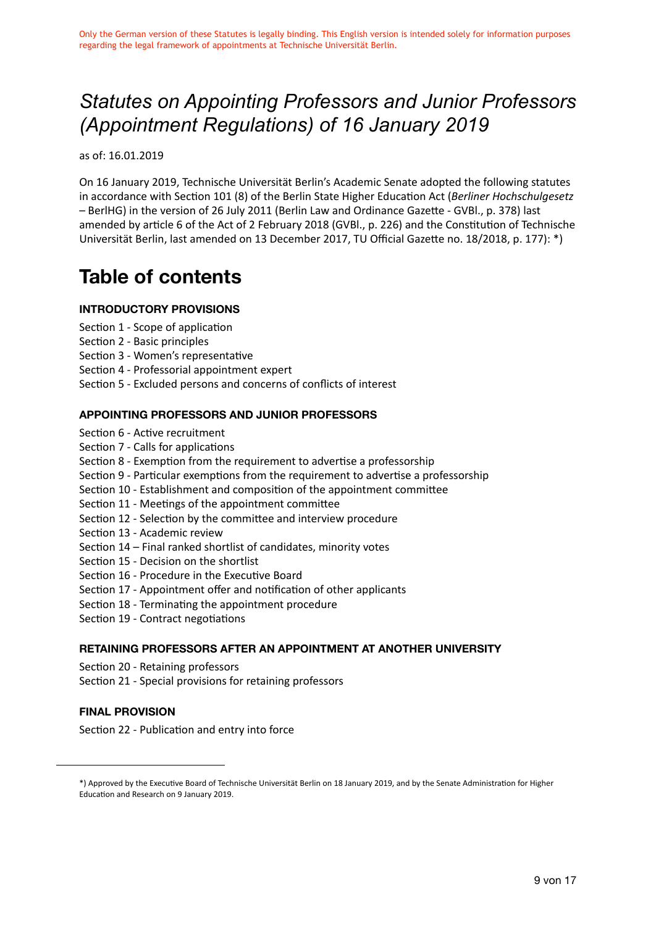# *Statutes on Appointing Professors and Junior Professors (Appointment Regulations) of 16 January 2019*

as of: 16.01.2019

On 16 January 2019, Technische Universität Berlin's Academic Senate adopted the following statutes in accordance with Section 101 (8) of the Berlin State Higher Education Act (*Berliner Hochschulgesetz* – BerlHG) in the version of 26 July 2011 (Berlin Law and Ordinance Gazette - GVBl., p. 378) last amended by article 6 of the Act of 2 February 2018 (GVBl., p. 226) and the Constitution of Technische Universität Berlin, last amended on 13 December 2017, TU Official Gazette no. 18/2018, p. 177): \*)

# **Table of contents**

#### **INTRODUCTORY PROVISIONS**

- Section 1 Scope of application
- Section 2 Basic principles
- Section 3 Women's representative
- Section 4 Professorial appointment expert
- Section 5 Excluded persons and concerns of conflicts of interest

#### **APPOINTING PROFESSORS AND JUNIOR PROFESSORS**

- Section 6 Active recruitment
- Section 7 Calls for applications
- Section 8 Exemption from the requirement to advertise a professorship
- Section 9 Particular exemptions from the requirement to advertise a professorship
- Section 10 Establishment and composition of the appointment committee
- Section 11 Meetings of the appointment committee
- Section 12 Selection by the committee and interview procedure
- Section 13 Academic review
- Section 14 Final ranked shortlist of candidates, minority votes
- Section 15 Decision on the shortlist
- Section 16 Procedure in the Executive Board
- Section 17 Appointment offer and notification of other applicants
- Section 18 Terminating the appointment procedure
- Section 19 Contract negotiations

#### **RETAINING PROFESSORS AFTER AN APPOINTMENT AT ANOTHER UNIVERSITY**

- Section 20 Retaining professors
- Section 21 Special provisions for retaining professors

#### **FINAL PROVISION**

Section 22 - Publication and entry into force

<sup>\*)</sup> Approved by the Executive Board of Technische Universität Berlin on 18 January 2019, and by the Senate Administration for Higher Education and Research on 9 January 2019.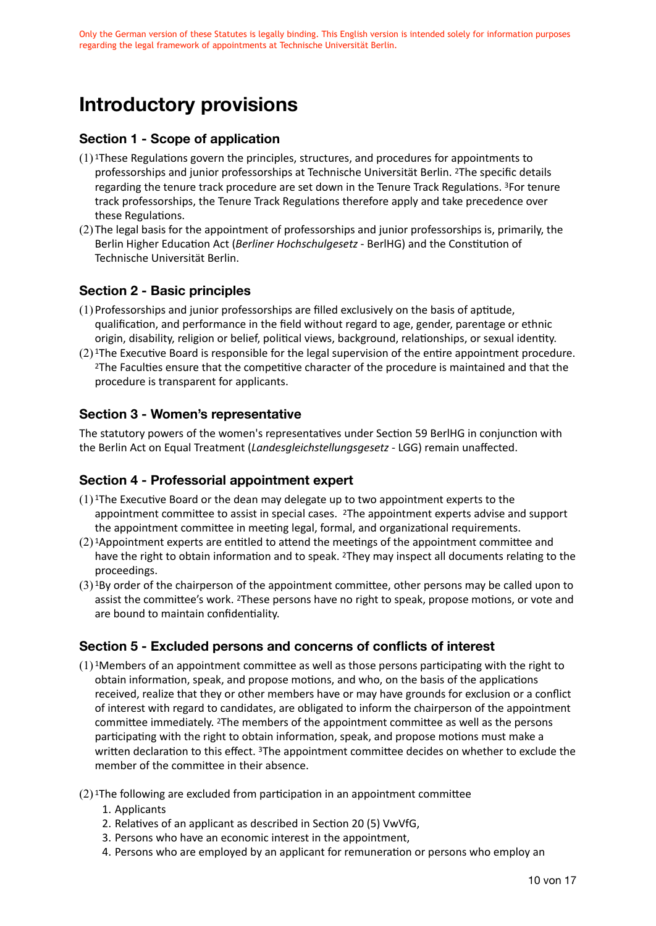# **Introductory provisions**

### **Section 1 - Scope of application**

- (1) 1These Regulations govern the principles, structures, and procedures for appointments to professorships and junior professorships at Technische Universität Berlin. 2The specific details regarding the tenure track procedure are set down in the Tenure Track Regulations. 3For tenure track professorships, the Tenure Track Regulations therefore apply and take precedence over these Regulations.
- (2) The legal basis for the appointment of professorships and junior professorships is, primarily, the Berlin Higher Education Act (*Berliner Hochschulgesetz* - BerlHG) and the Constitution of Technische Universität Berlin.

# **Section 2 - Basic principles**

- (1)Professorships and junior professorships are filled exclusively on the basis of aptitude, qualification, and performance in the field without regard to age, gender, parentage or ethnic origin, disability, religion or belief, political views, background, relationships, or sexual identity.
- (2) 1The Executive Board is responsible for the legal supervision of the entire appointment procedure. 2The Faculties ensure that the competitive character of the procedure is maintained and that the procedure is transparent for applicants.

### **Section 3 - Women's representative**

The statutory powers of the women's representatives under Section 59 BerlHG in conjunction with the Berlin Act on Equal Treatment (*Landesgleichstellungsgesetz* - LGG) remain unaffected.

#### **Section 4 - Professorial appointment expert**

- $(1)$ <sup>1</sup>The Executive Board or the dean may delegate up to two appointment experts to the appointment committee to assist in special cases. 2The appointment experts advise and support the appointment committee in meeting legal, formal, and organizational requirements.
- $(2)$ <sup>1</sup>Appointment experts are entitled to attend the meetings of the appointment committee and have the right to obtain information and to speak. <sup>2</sup>They may inspect all documents relating to the proceedings.
- (3) 1By order of the chairperson of the appointment committee, other persons may be called upon to assist the committee's work. 2These persons have no right to speak, propose motions, or vote and are bound to maintain confidentiality.

# **Section 5 - Excluded persons and concerns of conflicts of interest**

- $(1)$ <sup>1</sup>Members of an appointment committee as well as those persons participating with the right to obtain information, speak, and propose motions, and who, on the basis of the applications received, realize that they or other members have or may have grounds for exclusion or a conflict of interest with regard to candidates, are obligated to inform the chairperson of the appointment committee immediately. 2The members of the appointment committee as well as the persons participating with the right to obtain information, speak, and propose motions must make a written declaration to this effect. <sup>3</sup>The appointment committee decides on whether to exclude the member of the committee in their absence.
- $(2)$ <sup>1</sup>The following are excluded from participation in an appointment committee
	- 1. Applicants
	- 2. Relatives of an applicant as described in Section 20 (5) VwVfG,
	- 3. Persons who have an economic interest in the appointment,
	- 4. Persons who are employed by an applicant for remuneration or persons who employ an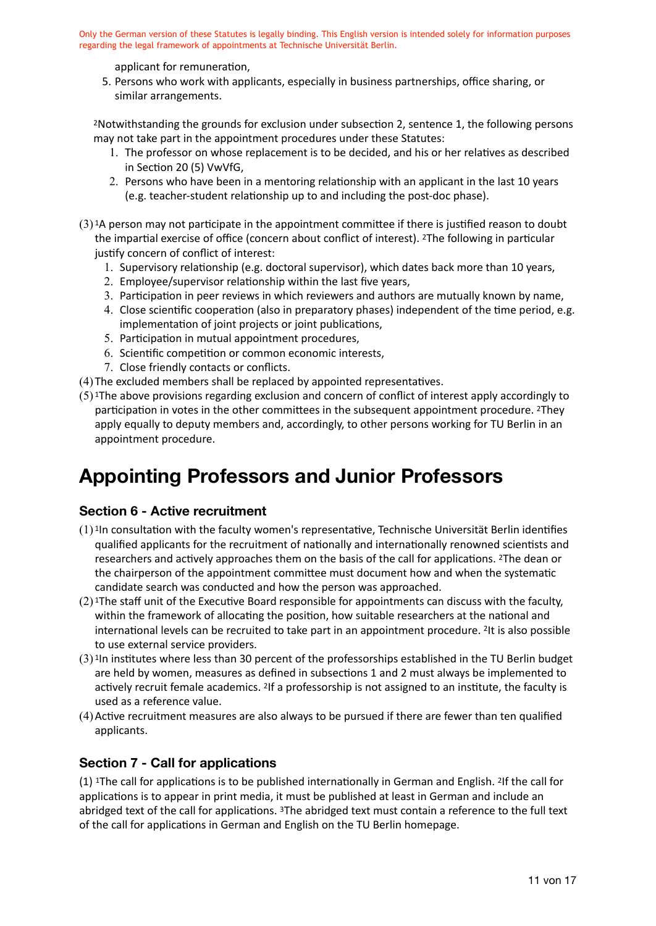applicant for remuneration,

5. Persons who work with applicants, especially in business partnerships, office sharing, or similar arrangements.

2Notwithstanding the grounds for exclusion under subsection 2, sentence 1, the following persons may not take part in the appointment procedures under these Statutes:

- 1. The professor on whose replacement is to be decided, and his or her relatives as described in Section 20 (5) VwVfG,
- 2. Persons who have been in a mentoring relationship with an applicant in the last 10 years (e.g. teacher-student relationship up to and including the post-doc phase).
- $(3)$ <sup>1</sup>A person may not participate in the appointment committee if there is justified reason to doubt the impartial exercise of office (concern about conflict of interest). 2The following in particular justify concern of conflict of interest:
	- 1. Supervisory relationship (e.g. doctoral supervisor), which dates back more than 10 years,
	- 2. Employee/supervisor relationship within the last five years,
	- 3. Participation in peer reviews in which reviewers and authors are mutually known by name,
	- 4. Close scientific cooperation (also in preparatory phases) independent of the time period, e.g. implementation of joint projects or joint publications,
	- 5. Participation in mutual appointment procedures,
	- 6. Scientific competition or common economic interests,
	- 7. Close friendly contacts or conflicts.
- (4) The excluded members shall be replaced by appointed representatives.
- (5) 1The above provisions regarding exclusion and concern of conflict of interest apply accordingly to participation in votes in the other committees in the subsequent appointment procedure. 2They apply equally to deputy members and, accordingly, to other persons working for TU Berlin in an appointment procedure.

# **Appointing Professors and Junior Professors**

# **Section 6 - Active recruitment**

- $(1)$ <sup>1</sup>In consultation with the faculty women's representative, Technische Universität Berlin identifies qualified applicants for the recruitment of nationally and internationally renowned scientists and researchers and actively approaches them on the basis of the call for applications. 2The dean or the chairperson of the appointment committee must document how and when the systematic candidate search was conducted and how the person was approached.
- $(2)$ <sup>1</sup>The staff unit of the Executive Board responsible for appointments can discuss with the faculty, within the framework of allocating the position, how suitable researchers at the national and international levels can be recruited to take part in an appointment procedure. 2It is also possible to use external service providers.
- (3) 1In institutes where less than 30 percent of the professorships established in the TU Berlin budget are held by women, measures as defined in subsections 1 and 2 must always be implemented to actively recruit female academics. 2If a professorship is not assigned to an institute, the faculty is used as a reference value.
- (4)Active recruitment measures are also always to be pursued if there are fewer than ten qualified applicants.

# **Section 7 - Call for applications**

(1) 1The call for applications is to be published internationally in German and English. 2If the call for applications is to appear in print media, it must be published at least in German and include an abridged text of the call for applications. 3The abridged text must contain a reference to the full text of the call for applications in German and English on the TU Berlin homepage.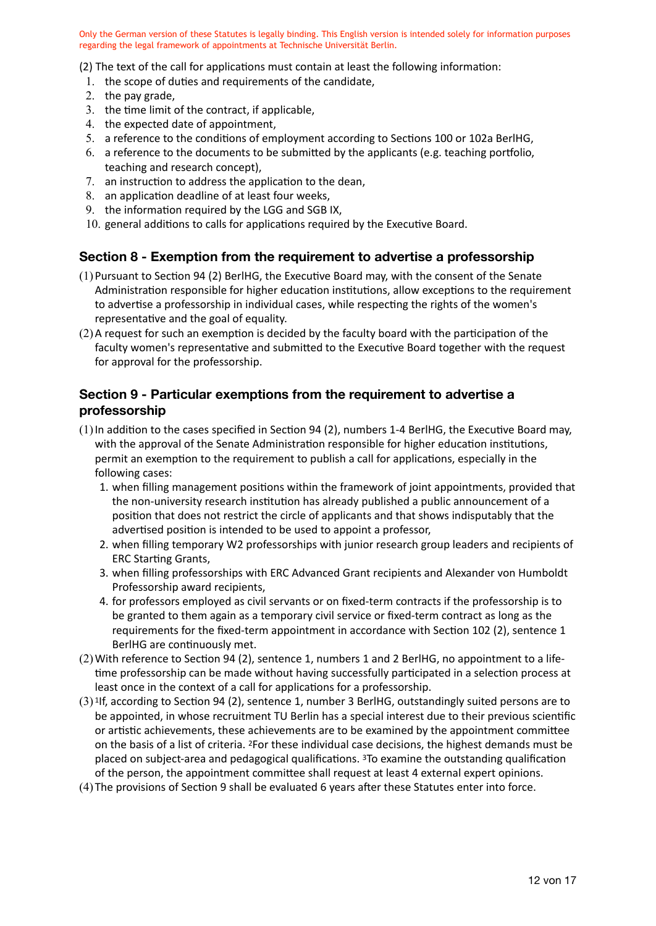(2) The text of the call for applications must contain at least the following information:

- 1. the scope of duties and requirements of the candidate,
- 2. the pay grade,
- 3. the time limit of the contract, if applicable,
- 4. the expected date of appointment,
- 5. a reference to the conditions of employment according to Sections 100 or 102a BerlHG,
- 6. a reference to the documents to be submitted by the applicants (e.g. teaching portfolio, teaching and research concept),
- 7. an instruction to address the application to the dean,
- 8. an application deadline of at least four weeks,
- 9. the information required by the LGG and SGB IX,
- 10. general additions to calls for applications required by the Executive Board.

#### **Section 8 - Exemption from the requirement to advertise a professorship**

- (1)Pursuant to Section 94 (2) BerlHG, the Executive Board may, with the consent of the Senate Administration responsible for higher education institutions, allow exceptions to the requirement to advertise a professorship in individual cases, while respecting the rights of the women's representative and the goal of equality.
- (2)A request for such an exemption is decided by the faculty board with the participation of the faculty women's representative and submitted to the Executive Board together with the request for approval for the professorship.

### **Section 9 - Particular exemptions from the requirement to advertise a professorship**

- (1)In addition to the cases specified in Section 94 (2), numbers 1-4 BerlHG, the Executive Board may, with the approval of the Senate Administration responsible for higher education institutions, permit an exemption to the requirement to publish a call for applications, especially in the following cases:
	- 1. when filling management positions within the framework of joint appointments, provided that the non-university research institution has already published a public announcement of a position that does not restrict the circle of applicants and that shows indisputably that the advertised position is intended to be used to appoint a professor,
	- 2. when filling temporary W2 professorships with junior research group leaders and recipients of ERC Starting Grants,
	- 3. when filling professorships with ERC Advanced Grant recipients and Alexander von Humboldt Professorship award recipients,
	- 4. for professors employed as civil servants or on fixed-term contracts if the professorship is to be granted to them again as a temporary civil service or fixed-term contract as long as the requirements for the fixed-term appointment in accordance with Section 102 (2), sentence 1 BerlHG are continuously met.
- (2)With reference to Section 94 (2), sentence 1, numbers 1 and 2 BerlHG, no appointment to a lifetime professorship can be made without having successfully participated in a selection process at least once in the context of a call for applications for a professorship.
- (3) 1If, according to Section 94 (2), sentence 1, number 3 BerlHG, outstandingly suited persons are to be appointed, in whose recruitment TU Berlin has a special interest due to their previous scientific or artistic achievements, these achievements are to be examined by the appointment committee on the basis of a list of criteria. 2For these individual case decisions, the highest demands must be placed on subject-area and pedagogical qualifications. 3To examine the outstanding qualification of the person, the appointment committee shall request at least 4 external expert opinions.
- (4) The provisions of Section 9 shall be evaluated 6 years after these Statutes enter into force.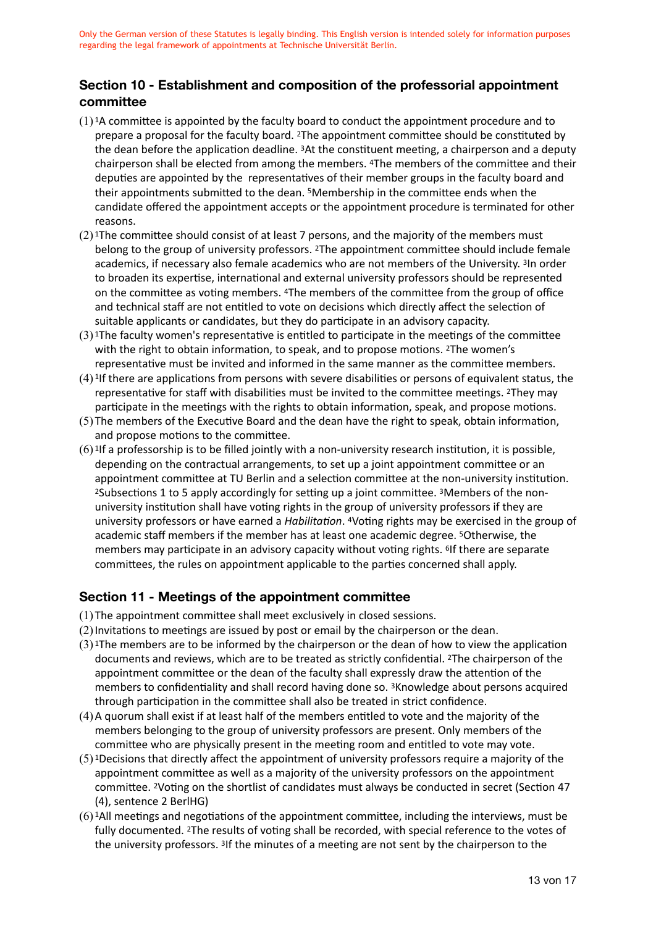# **Section 10 - Establishment and composition of the professorial appointment committee**

- $(1)$ <sup>1</sup>A committee is appointed by the faculty board to conduct the appointment procedure and to prepare a proposal for the faculty board. 2The appointment committee should be constituted by the dean before the application deadline. 3At the constituent meeting, a chairperson and a deputy chairperson shall be elected from among the members. 4The members of the committee and their deputies are appointed by the representatives of their member groups in the faculty board and their appointments submitted to the dean. 5Membership in the committee ends when the candidate offered the appointment accepts or the appointment procedure is terminated for other reasons.
- $(2)$ <sup>1</sup>The committee should consist of at least 7 persons, and the majority of the members must belong to the group of university professors. 2The appointment committee should include female academics, if necessary also female academics who are not members of the University. 3In order to broaden its expertise, international and external university professors should be represented on the committee as voting members. 4The members of the committee from the group of office and technical staff are not entitled to vote on decisions which directly affect the selection of suitable applicants or candidates, but they do participate in an advisory capacity.
- $(3)$ <sup>1</sup>The faculty women's representative is entitled to participate in the meetings of the committee with the right to obtain information, to speak, and to propose motions. <sup>2</sup>The women's representative must be invited and informed in the same manner as the committee members.
- (4) 1If there are applications from persons with severe disabilities or persons of equivalent status, the representative for staff with disabilities must be invited to the committee meetings. 2They may participate in the meetings with the rights to obtain information, speak, and propose motions.
- (5) The members of the Executive Board and the dean have the right to speak, obtain information, and propose motions to the committee.
- (6) 1If a professorship is to be filled jointly with a non-university research institution, it is possible, depending on the contractual arrangements, to set up a joint appointment committee or an appointment committee at TU Berlin and a selection committee at the non-university institution. 2Subsections 1 to 5 apply accordingly for setting up a joint committee. 3Members of the nonuniversity institution shall have voting rights in the group of university professors if they are university professors or have earned a *Habilitation*. 4Voting rights may be exercised in the group of academic staff members if the member has at least one academic degree. 5Otherwise, the members may participate in an advisory capacity without voting rights. 6If there are separate committees, the rules on appointment applicable to the parties concerned shall apply.

# **Section 11 - Meetings of the appointment committee**

- (1) The appointment committee shall meet exclusively in closed sessions.
- (2)Invitations to meetings are issued by post or email by the chairperson or the dean.
- $(3)$ <sup>1</sup>The members are to be informed by the chairperson or the dean of how to view the application documents and reviews, which are to be treated as strictly confidential. 2The chairperson of the appointment committee or the dean of the faculty shall expressly draw the attention of the members to confidentiality and shall record having done so. 3Knowledge about persons acquired through participation in the committee shall also be treated in strict confidence.
- (4)A quorum shall exist if at least half of the members entitled to vote and the majority of the members belonging to the group of university professors are present. Only members of the committee who are physically present in the meeting room and entitled to vote may vote.
- (5) 1Decisions that directly affect the appointment of university professors require a majority of the appointment committee as well as a majority of the university professors on the appointment committee. 2Voting on the shortlist of candidates must always be conducted in secret (Section 47 (4), sentence 2 BerlHG)
- (6) 1All meetings and negotiations of the appointment committee, including the interviews, must be fully documented. 2The results of voting shall be recorded, with special reference to the votes of the university professors. 3If the minutes of a meeting are not sent by the chairperson to the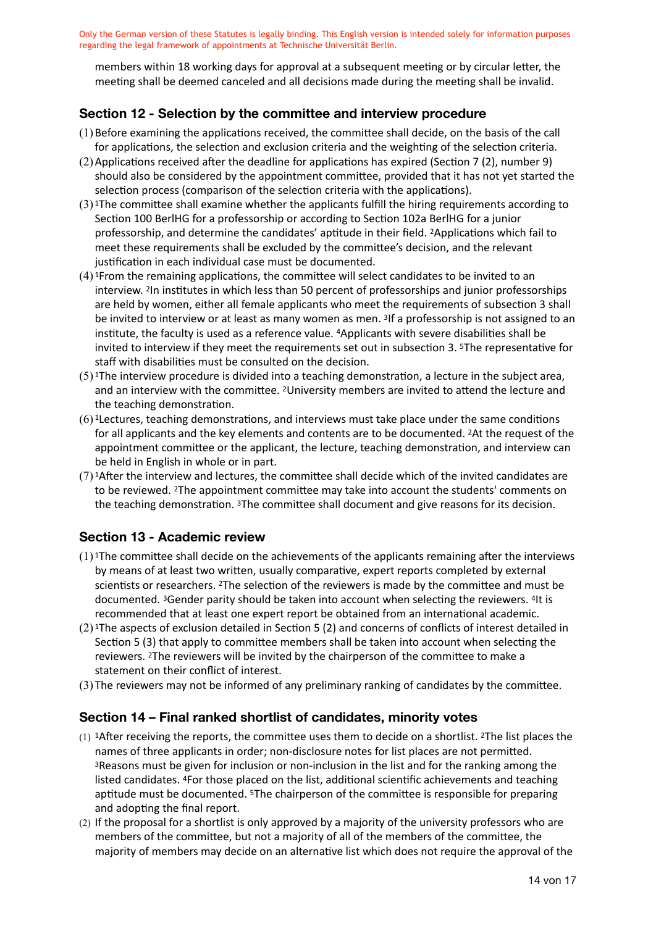members within 18 working days for approval at a subsequent meeting or by circular letter, the meeting shall be deemed canceled and all decisions made during the meeting shall be invalid.

# **Section 12 - Selection by the committee and interview procedure**

- (1)Before examining the applications received, the committee shall decide, on the basis of the call for applications, the selection and exclusion criteria and the weighting of the selection criteria.
- (2)Applications received after the deadline for applications has expired (Section 7 (2), number 9) should also be considered by the appointment committee, provided that it has not yet started the selection process (comparison of the selection criteria with the applications).
- $(3)$ <sup>1</sup>The committee shall examine whether the applicants fulfill the hiring requirements according to Section 100 BerlHG for a professorship or according to Section 102a BerlHG for a junior professorship, and determine the candidates' aptitude in their field. 2Applications which fail to meet these requirements shall be excluded by the committee's decision, and the relevant justification in each individual case must be documented.
- (4) 1From the remaining applications, the committee will select candidates to be invited to an interview. 2In institutes in which less than 50 percent of professorships and junior professorships are held by women, either all female applicants who meet the requirements of subsection 3 shall be invited to interview or at least as many women as men. 3If a professorship is not assigned to an institute, the faculty is used as a reference value. 4Applicants with severe disabilities shall be invited to interview if they meet the requirements set out in subsection 3. 5The representative for staff with disabilities must be consulted on the decision.
- $(5)$ <sup>1</sup>The interview procedure is divided into a teaching demonstration, a lecture in the subject area, and an interview with the committee. 2University members are invited to attend the lecture and the teaching demonstration.
- $(6)$ <sup>1</sup> Lectures, teaching demonstrations, and interviews must take place under the same conditions for all applicants and the key elements and contents are to be documented. 2At the request of the appointment committee or the applicant, the lecture, teaching demonstration, and interview can be held in English in whole or in part.
- (7) 1After the interview and lectures, the committee shall decide which of the invited candidates are to be reviewed. 2The appointment committee may take into account the students' comments on the teaching demonstration. 3The committee shall document and give reasons for its decision.

#### **Section 13 - Academic review**

- $(1)$ <sup>1</sup>The committee shall decide on the achievements of the applicants remaining after the interviews by means of at least two written, usually comparative, expert reports completed by external scientists or researchers. 2The selection of the reviewers is made by the committee and must be documented. 3Gender parity should be taken into account when selecting the reviewers. 4It is recommended that at least one expert report be obtained from an international academic.
- (2) 1The aspects of exclusion detailed in Section 5 (2) and concerns of conflicts of interest detailed in Section 5 (3) that apply to committee members shall be taken into account when selecting the reviewers. 2The reviewers will be invited by the chairperson of the committee to make a statement on their conflict of interest.
- (3) The reviewers may not be informed of any preliminary ranking of candidates by the committee.

#### **Section 14 – Final ranked shortlist of candidates, minority votes**

- $(1)$  1After receiving the reports, the committee uses them to decide on a shortlist. <sup>2</sup>The list places the names of three applicants in order; non-disclosure notes for list places are not permitted. 3Reasons must be given for inclusion or non-inclusion in the list and for the ranking among the listed candidates. 4For those placed on the list, additional scientific achievements and teaching aptitude must be documented. 5The chairperson of the committee is responsible for preparing and adopting the final report.
- (2) If the proposal for a shortlist is only approved by a majority of the university professors who are members of the committee, but not a majority of all of the members of the committee, the majority of members may decide on an alternative list which does not require the approval of the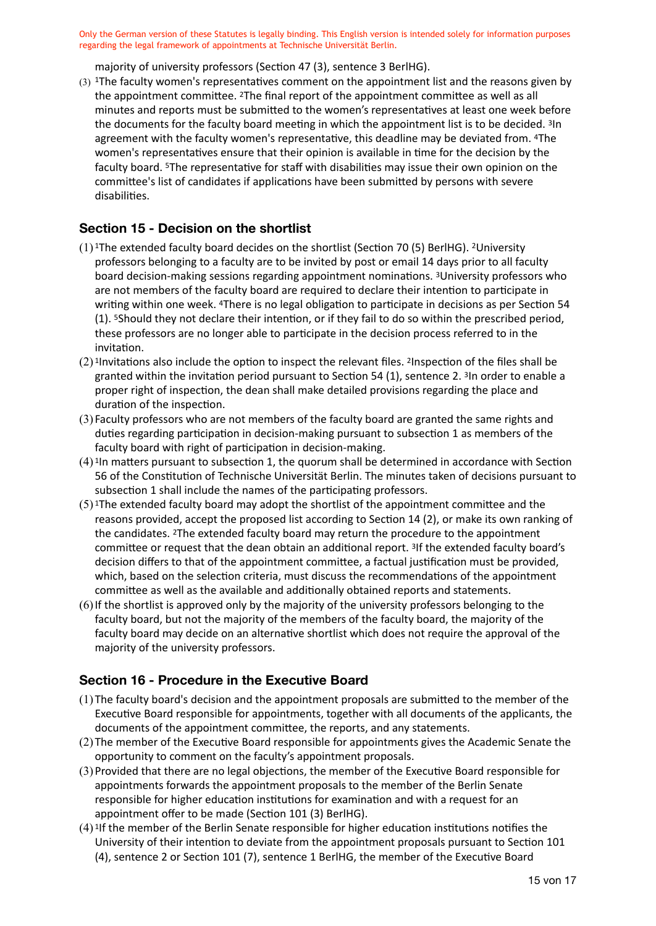majority of university professors (Section 47 (3), sentence 3 BerlHG).

(3) 1The faculty women's representatives comment on the appointment list and the reasons given by the appointment committee. 2The final report of the appointment committee as well as all minutes and reports must be submitted to the women's representatives at least one week before the documents for the faculty board meeting in which the appointment list is to be decided. 3In agreement with the faculty women's representative, this deadline may be deviated from. 4The women's representatives ensure that their opinion is available in time for the decision by the faculty board. 5The representative for staff with disabilities may issue their own opinion on the committee's list of candidates if applications have been submitted by persons with severe disabilities.

#### **Section 15 - Decision on the shortlist**

- (1) 1The extended faculty board decides on the shortlist (Section 70 (5) BerlHG). 2University professors belonging to a faculty are to be invited by post or email 14 days prior to all faculty board decision-making sessions regarding appointment nominations. 3University professors who are not members of the faculty board are required to declare their intention to participate in writing within one week. 4There is no legal obligation to participate in decisions as per Section 54 (1). 5Should they not declare their intention, or if they fail to do so within the prescribed period, these professors are no longer able to participate in the decision process referred to in the invitation.
- (2) 1Invitations also include the option to inspect the relevant files. 2Inspection of the files shall be granted within the invitation period pursuant to Section 54 (1), sentence 2. 3In order to enable a proper right of inspection, the dean shall make detailed provisions regarding the place and duration of the inspection.
- (3) Faculty professors who are not members of the faculty board are granted the same rights and duties regarding participation in decision-making pursuant to subsection 1 as members of the faculty board with right of participation in decision-making.
- (4) 1In matters pursuant to subsection 1, the quorum shall be determined in accordance with Section 56 of the Constitution of Technische Universität Berlin. The minutes taken of decisions pursuant to subsection 1 shall include the names of the participating professors.
- (5) 1The extended faculty board may adopt the shortlist of the appointment committee and the reasons provided, accept the proposed list according to Section 14 (2), or make its own ranking of the candidates. 2The extended faculty board may return the procedure to the appointment committee or request that the dean obtain an additional report. 3If the extended faculty board's decision differs to that of the appointment committee, a factual justification must be provided, which, based on the selection criteria, must discuss the recommendations of the appointment committee as well as the available and additionally obtained reports and statements.
- (6)If the shortlist is approved only by the majority of the university professors belonging to the faculty board, but not the majority of the members of the faculty board, the majority of the faculty board may decide on an alternative shortlist which does not require the approval of the majority of the university professors.

#### **Section 16 - Procedure in the Executive Board**

- (1) The faculty board's decision and the appointment proposals are submitted to the member of the Executive Board responsible for appointments, together with all documents of the applicants, the documents of the appointment committee, the reports, and any statements.
- (2) The member of the Executive Board responsible for appointments gives the Academic Senate the opportunity to comment on the faculty's appointment proposals.
- (3)Provided that there are no legal objections, the member of the Executive Board responsible for appointments forwards the appointment proposals to the member of the Berlin Senate responsible for higher education institutions for examination and with a request for an appointment offer to be made (Section 101 (3) BerlHG).
- (4) 1If the member of the Berlin Senate responsible for higher education institutions notifies the University of their intention to deviate from the appointment proposals pursuant to Section 101 (4), sentence 2 or Section 101 (7), sentence 1 BerlHG, the member of the Executive Board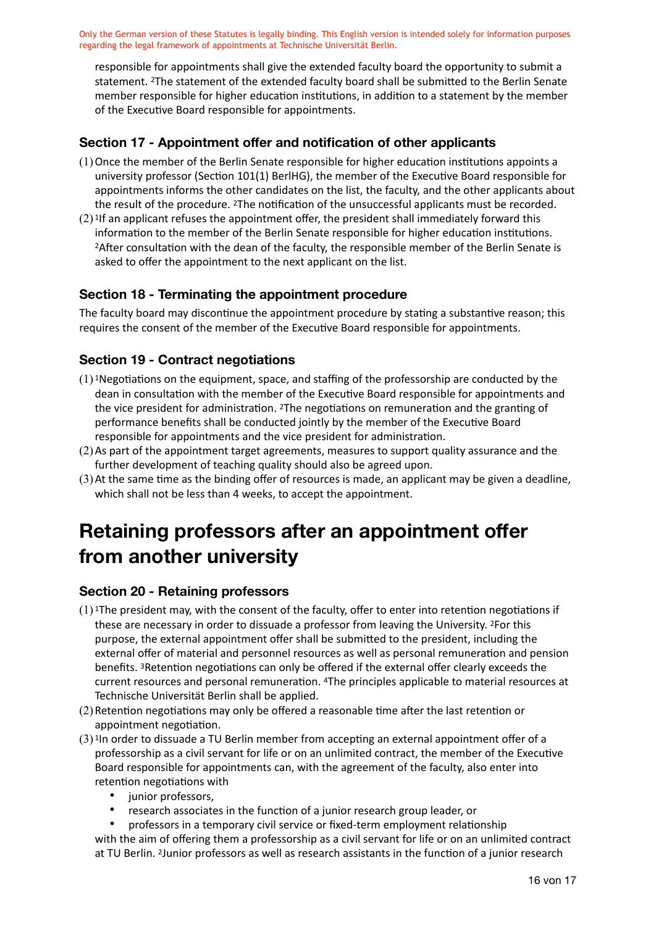responsible for appointments shall give the extended faculty board the opportunity to submit a statement. 2The statement of the extended faculty board shall be submitted to the Berlin Senate member responsible for higher education institutions, in addition to a statement by the member of the Executive Board responsible for appointments.

# **Section 17 - Appointment offer and notification of other applicants**

- (1)Once the member of the Berlin Senate responsible for higher education institutions appoints a university professor (Section 101(1) BerlHG), the member of the Executive Board responsible for appointments informs the other candidates on the list, the faculty, and the other applicants about the result of the procedure. 2The notification of the unsuccessful applicants must be recorded.
- $(2)$ <sup>1</sup>If an applicant refuses the appointment offer, the president shall immediately forward this information to the member of the Berlin Senate responsible for higher education institutions. 2After consultation with the dean of the faculty, the responsible member of the Berlin Senate is asked to offer the appointment to the next applicant on the list.

### **Section 18 - Terminating the appointment procedure**

The faculty board may discontinue the appointment procedure by stating a substantive reason; this requires the consent of the member of the Executive Board responsible for appointments.

### **Section 19 - Contract negotiations**

- $(1)$  1Negotiations on the equipment, space, and staffing of the professorship are conducted by the dean in consultation with the member of the Executive Board responsible for appointments and the vice president for administration. 2The negotiations on remuneration and the granting of performance benefits shall be conducted jointly by the member of the Executive Board responsible for appointments and the vice president for administration.
- (2)As part of the appointment target agreements, measures to support quality assurance and the further development of teaching quality should also be agreed upon.
- (3)At the same time as the binding offer of resources is made, an applicant may be given a deadline, which shall not be less than 4 weeks, to accept the appointment.

# **Retaining professors after an appointment offer from another university**

#### **Section 20 - Retaining professors**

- $(1)$ <sup>1</sup>The president may, with the consent of the faculty, offer to enter into retention negotiations if these are necessary in order to dissuade a professor from leaving the University. 2For this purpose, the external appointment offer shall be submitted to the president, including the external offer of material and personnel resources as well as personal remuneration and pension benefits. 3Retention negotiations can only be offered if the external offer clearly exceeds the current resources and personal remuneration. 4The principles applicable to material resources at Technische Universität Berlin shall be applied.
- (2)Retention negotiations may only be offered a reasonable time after the last retention or appointment negotiation.
- (3) 1In order to dissuade a TU Berlin member from accepting an external appointment offer of a professorship as a civil servant for life or on an unlimited contract, the member of the Executive Board responsible for appointments can, with the agreement of the faculty, also enter into retention negotiations with
	- junior professors,
	- research associates in the function of a junior research group leader, or
	- professors in a temporary civil service or fixed-term employment relationship with the aim of offering them a professorship as a civil servant for life or on an unlimited contract at TU Berlin. 2Junior professors as well as research assistants in the function of a junior research